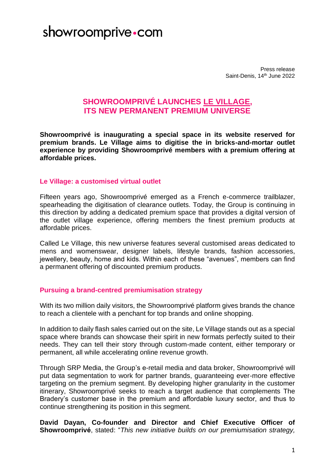## showroomprive com

Press release Saint-Denis, 14<sup>th</sup> June 2022

### **SHOWROOMPRIVÉ LAUNCHES LE VILLAGE, ITS NEW PERMANENT PREMIUM UNIVERSE**

**Showroomprivé is inaugurating a special space in its website reserved for premium brands. Le Village aims to digitise the in bricks-and-mortar outlet experience by providing Showroomprivé members with a premium offering at affordable prices.** 

#### **Le Village: a customised virtual outlet**

Fifteen years ago, Showroomprivé emerged as a French e-commerce trailblazer, spearheading the digitisation of clearance outlets. Today, the Group is continuing in this direction by adding a dedicated premium space that provides a digital version of the outlet village experience, offering members the finest premium products at affordable prices.

Called Le Village, this new universe features several customised areas dedicated to mens and womenswear, designer labels, lifestyle brands, fashion accessories, jewellery, beauty, home and kids. Within each of these "avenues", members can find a permanent offering of discounted premium products.

### **Pursuing a brand-centred premiumisation strategy**

With its two million daily visitors, the Showroomprivé platform gives brands the chance to reach a clientele with a penchant for top brands and online shopping.

In addition to daily flash sales carried out on the site, Le Village stands out as a special space where brands can showcase their spirit in new formats perfectly suited to their needs. They can tell their story through custom-made content, either temporary or permanent, all while accelerating online revenue growth.

Through SRP Media, the Group's e-retail media and data broker, Showroomprivé will put data segmentation to work for partner brands, guaranteeing ever-more effective targeting on the premium segment. By developing higher granularity in the customer itinerary, Showroomprivé seeks to reach a target audience that complements The Bradery's customer base in the premium and affordable luxury sector, and thus to continue strengthening its position in this segment.

**David Dayan, Co-founder and Director and Chief Executive Officer of Showroomprivé**, stated: "*This new initiative builds on our premiumisation strategy,*